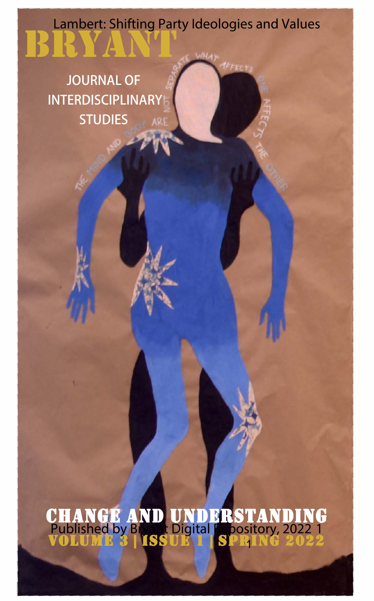## bryant Lambert: Shifting Party Ideologies and Values

**JOURNAL OF INTERDISCIPLINARY STUDIES**

change and understanding volume 3 | issue 1 | spring 2022 1  $^{\prime}$  1 Published by Bryant Digital Repository, 2022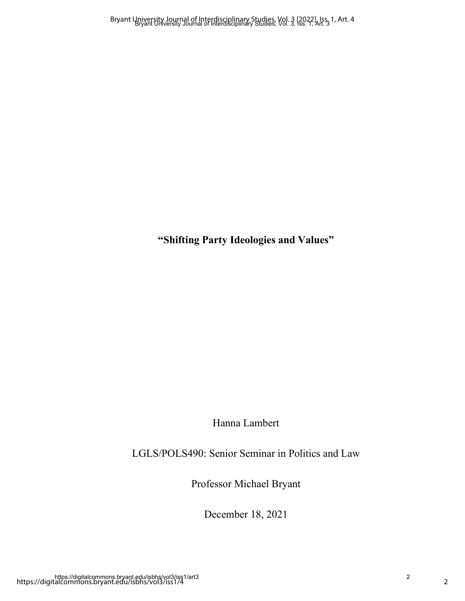**"Shifting Party Ideologies and Values"**

Hanna Lambert

LGLS/POLS490: Senior Seminar in Politics and Law

Professor Michael Bryant

December 18, 2021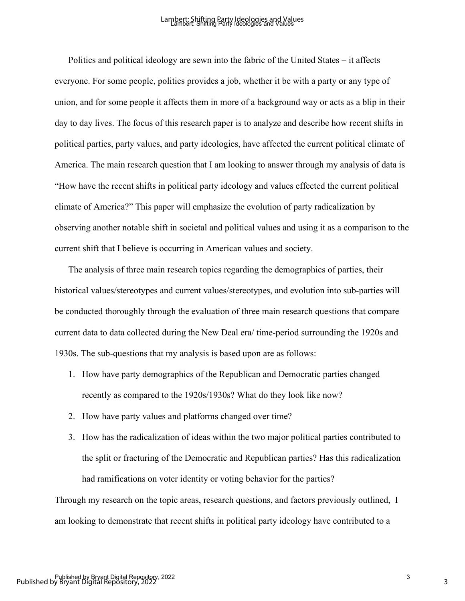Politics and political ideology are sewn into the fabric of the United States – it affects everyone. For some people, politics provides a job, whether it be with a party or any type of union, and for some people it affects them in more of a background way or acts as a blip in their day to day lives. The focus of this research paper is to analyze and describe how recent shifts in political parties, party values, and party ideologies, have affected the current political climate of America. The main research question that I am looking to answer through my analysis of data is "How have the recent shifts in political party ideology and values effected the current political climate of America?" This paper will emphasize the evolution of party radicalization by observing another notable shift in societal and political values and using it as a comparison to the current shift that I believe is occurring in American values and society.

The analysis of three main research topics regarding the demographics of parties, their historical values/stereotypes and current values/stereotypes, and evolution into sub-parties will be conducted thoroughly through the evaluation of three main research questions that compare current data to data collected during the New Deal era/ time-period surrounding the 1920s and 1930s. The sub-questions that my analysis is based upon are as follows:

- 1. How have party demographics of the Republican and Democratic parties changed recently as compared to the 1920s/1930s? What do they look like now?
- 2. How have party values and platforms changed over time?
- 3. How has the radicalization of ideas within the two major political parties contributed to the split or fracturing of the Democratic and Republican parties? Has this radicalization had ramifications on voter identity or voting behavior for the parties?

Through my research on the topic areas, research questions, and factors previously outlined, I am looking to demonstrate that recent shifts in political party ideology have contributed to a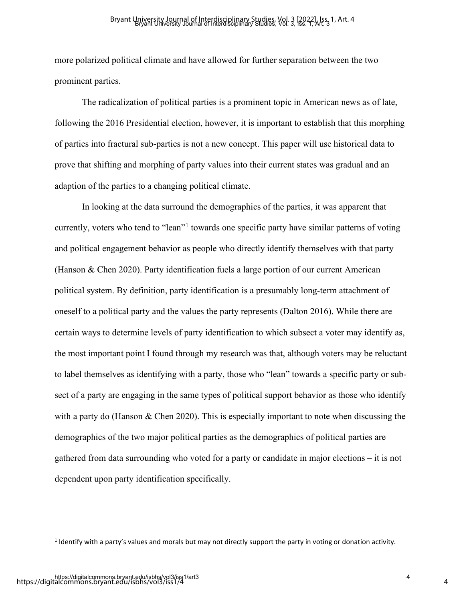more polarized political climate and have allowed for further separation between the two prominent parties.

The radicalization of political parties is a prominent topic in American news as of late, following the 2016 Presidential election, however, it is important to establish that this morphing of parties into fractural sub-parties is not a new concept. This paper will use historical data to prove that shifting and morphing of party values into their current states was gradual and an adaption of the parties to a changing political climate.

 In looking at the data surround the demographics of the parties, it was apparent that currently, voters who tend to "lean"<sup>[1](#page-3-0)</sup> towards one specific party have similar patterns of voting and political engagement behavior as people who directly identify themselves with that party (Hanson & Chen 2020). Party identification fuels a large portion of our current American political system. By definition, party identification is a presumably long-term attachment of oneself to a political party and the values the party represents (Dalton 2016). While there are certain ways to determine levels of party identification to which subsect a voter may identify as, the most important point I found through my research was that, although voters may be reluctant to label themselves as identifying with a party, those who "lean" towards a specific party or subsect of a party are engaging in the same types of political support behavior as those who identify with a party do (Hanson & Chen 2020). This is especially important to note when discussing the demographics of the two major political parties as the demographics of political parties are gathered from data surrounding who voted for a party or candidate in major elections – it is not dependent upon party identification specifically.

<span id="page-3-0"></span> $1$  Identify with a party's values and morals but may not directly support the party in voting or donation activity.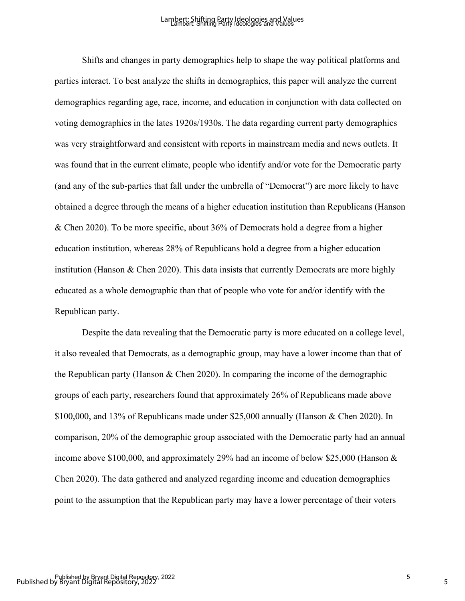Shifts and changes in party demographics help to shape the way political platforms and parties interact. To best analyze the shifts in demographics, this paper will analyze the current demographics regarding age, race, income, and education in conjunction with data collected on voting demographics in the lates 1920s/1930s. The data regarding current party demographics was very straightforward and consistent with reports in mainstream media and news outlets. It was found that in the current climate, people who identify and/or vote for the Democratic party (and any of the sub-parties that fall under the umbrella of "Democrat") are more likely to have obtained a degree through the means of a higher education institution than Republicans (Hanson & Chen 2020). To be more specific, about 36% of Democrats hold a degree from a higher education institution, whereas 28% of Republicans hold a degree from a higher education institution (Hanson & Chen 2020). This data insists that currently Democrats are more highly educated as a whole demographic than that of people who vote for and/or identify with the Republican party.

Despite the data revealing that the Democratic party is more educated on a college level, it also revealed that Democrats, as a demographic group, may have a lower income than that of the Republican party (Hanson & Chen 2020). In comparing the income of the demographic groups of each party, researchers found that approximately 26% of Republicans made above \$100,000, and 13% of Republicans made under \$25,000 annually (Hanson & Chen 2020). In comparison, 20% of the demographic group associated with the Democratic party had an annual income above \$100,000, and approximately 29% had an income of below \$25,000 (Hanson & Chen 2020). The data gathered and analyzed regarding income and education demographics point to the assumption that the Republican party may have a lower percentage of their voters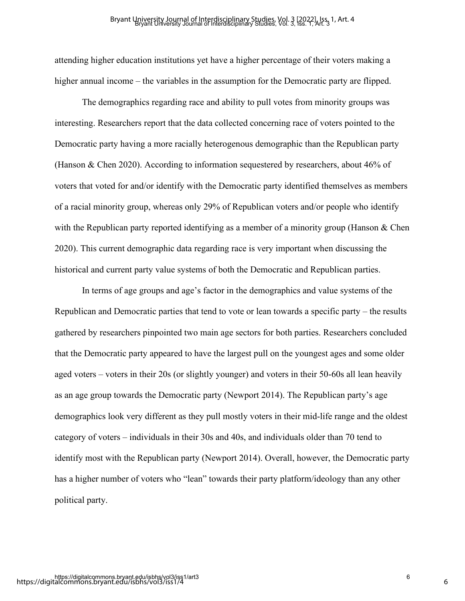attending higher education institutions yet have a higher percentage of their voters making a higher annual income – the variables in the assumption for the Democratic party are flipped.

The demographics regarding race and ability to pull votes from minority groups was interesting. Researchers report that the data collected concerning race of voters pointed to the Democratic party having a more racially heterogenous demographic than the Republican party (Hanson & Chen 2020). According to information sequestered by researchers, about 46% of voters that voted for and/or identify with the Democratic party identified themselves as members of a racial minority group, whereas only 29% of Republican voters and/or people who identify with the Republican party reported identifying as a member of a minority group (Hanson & Chen 2020). This current demographic data regarding race is very important when discussing the historical and current party value systems of both the Democratic and Republican parties.

 In terms of age groups and age's factor in the demographics and value systems of the Republican and Democratic parties that tend to vote or lean towards a specific party – the results gathered by researchers pinpointed two main age sectors for both parties. Researchers concluded that the Democratic party appeared to have the largest pull on the youngest ages and some older aged voters – voters in their 20s (or slightly younger) and voters in their 50-60s all lean heavily as an age group towards the Democratic party (Newport 2014). The Republican party's age demographics look very different as they pull mostly voters in their mid-life range and the oldest category of voters – individuals in their 30s and 40s, and individuals older than 70 tend to identify most with the Republican party (Newport 2014). Overall, however, the Democratic party has a higher number of voters who "lean" towards their party platform/ideology than any other political party.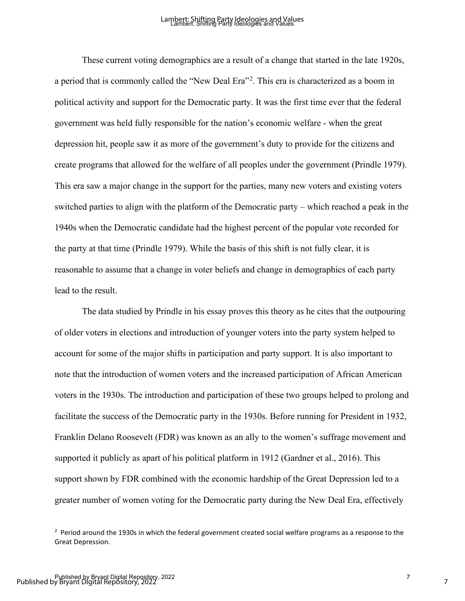These current voting demographics are a result of a change that started in the late 1920s, a period that is commonly called the "New Deal Era"<sup>[2](#page-6-0)</sup>. This era is characterized as a boom in political activity and support for the Democratic party. It was the first time ever that the federal government was held fully responsible for the nation's economic welfare - when the great depression hit, people saw it as more of the government's duty to provide for the citizens and create programs that allowed for the welfare of all peoples under the government (Prindle 1979). This era saw a major change in the support for the parties, many new voters and existing voters switched parties to align with the platform of the Democratic party – which reached a peak in the 1940s when the Democratic candidate had the highest percent of the popular vote recorded for the party at that time (Prindle 1979). While the basis of this shift is not fully clear, it is reasonable to assume that a change in voter beliefs and change in demographics of each party lead to the result.

The data studied by Prindle in his essay proves this theory as he cites that the outpouring of older voters in elections and introduction of younger voters into the party system helped to account for some of the major shifts in participation and party support. It is also important to note that the introduction of women voters and the increased participation of African American voters in the 1930s. The introduction and participation of these two groups helped to prolong and facilitate the success of the Democratic party in the 1930s. Before running for President in 1932, Franklin Delano Roosevelt (FDR) was known as an ally to the women's suffrage movement and supported it publicly as apart of his political platform in 1912 (Gardner et al., 2016). This support shown by FDR combined with the economic hardship of the Great Depression led to a greater number of women voting for the Democratic party during the New Deal Era, effectively

<span id="page-6-0"></span> $2$  Period around the 1930s in which the federal government created social welfare programs as a response to the Great Depression.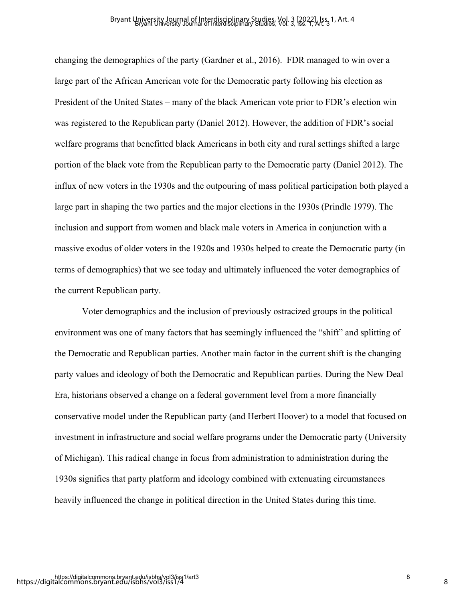changing the demographics of the party (Gardner et al., 2016). FDR managed to win over a large part of the African American vote for the Democratic party following his election as President of the United States – many of the black American vote prior to FDR's election win was registered to the Republican party (Daniel 2012). However, the addition of FDR's social welfare programs that benefitted black Americans in both city and rural settings shifted a large portion of the black vote from the Republican party to the Democratic party (Daniel 2012). The influx of new voters in the 1930s and the outpouring of mass political participation both played a large part in shaping the two parties and the major elections in the 1930s (Prindle 1979). The inclusion and support from women and black male voters in America in conjunction with a massive exodus of older voters in the 1920s and 1930s helped to create the Democratic party (in terms of demographics) that we see today and ultimately influenced the voter demographics of the current Republican party.

Voter demographics and the inclusion of previously ostracized groups in the political environment was one of many factors that has seemingly influenced the "shift" and splitting of the Democratic and Republican parties. Another main factor in the current shift is the changing party values and ideology of both the Democratic and Republican parties. During the New Deal Era, historians observed a change on a federal government level from a more financially conservative model under the Republican party (and Herbert Hoover) to a model that focused on investment in infrastructure and social welfare programs under the Democratic party (University of Michigan). This radical change in focus from administration to administration during the 1930s signifies that party platform and ideology combined with extenuating circumstances heavily influenced the change in political direction in the United States during this time.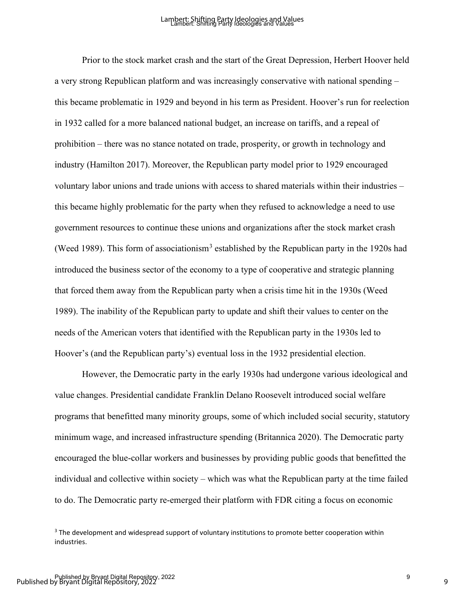Prior to the stock market crash and the start of the Great Depression, Herbert Hoover held a very strong Republican platform and was increasingly conservative with national spending – this became problematic in 1929 and beyond in his term as President. Hoover's run for reelection in 1932 called for a more balanced national budget, an increase on tariffs, and a repeal of prohibition – there was no stance notated on trade, prosperity, or growth in technology and industry (Hamilton 2017). Moreover, the Republican party model prior to 1929 encouraged voluntary labor unions and trade unions with access to shared materials within their industries – this became highly problematic for the party when they refused to acknowledge a need to use government resources to continue these unions and organizations after the stock market crash (Weed 1989). This form of associationism<sup>[3](#page-8-0)</sup> established by the Republican party in the 1920s had introduced the business sector of the economy to a type of cooperative and strategic planning that forced them away from the Republican party when a crisis time hit in the 1930s (Weed 1989). The inability of the Republican party to update and shift their values to center on the needs of the American voters that identified with the Republican party in the 1930s led to Hoover's (and the Republican party's) eventual loss in the 1932 presidential election.

However, the Democratic party in the early 1930s had undergone various ideological and value changes. Presidential candidate Franklin Delano Roosevelt introduced social welfare programs that benefitted many minority groups, some of which included social security, statutory minimum wage, and increased infrastructure spending (Britannica 2020). The Democratic party encouraged the blue-collar workers and businesses by providing public goods that benefitted the individual and collective within society – which was what the Republican party at the time failed to do. The Democratic party re-emerged their platform with FDR citing a focus on economic

<span id="page-8-0"></span><sup>&</sup>lt;sup>3</sup> The development and widespread support of voluntary institutions to promote better cooperation within industries.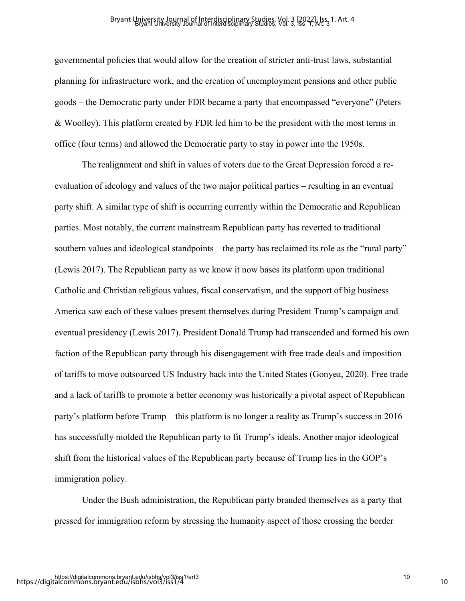governmental policies that would allow for the creation of stricter anti-trust laws, substantial planning for infrastructure work, and the creation of unemployment pensions and other public goods – the Democratic party under FDR became a party that encompassed "everyone" (Peters & Woolley). This platform created by FDR led him to be the president with the most terms in office (four terms) and allowed the Democratic party to stay in power into the 1950s.

The realignment and shift in values of voters due to the Great Depression forced a reevaluation of ideology and values of the two major political parties – resulting in an eventual party shift. A similar type of shift is occurring currently within the Democratic and Republican parties. Most notably, the current mainstream Republican party has reverted to traditional southern values and ideological standpoints – the party has reclaimed its role as the "rural party" (Lewis 2017). The Republican party as we know it now bases its platform upon traditional Catholic and Christian religious values, fiscal conservatism, and the support of big business – America saw each of these values present themselves during President Trump's campaign and eventual presidency (Lewis 2017). President Donald Trump had transcended and formed his own faction of the Republican party through his disengagement with free trade deals and imposition of tariffs to move outsourced US Industry back into the United States (Gonyea, 2020). Free trade and a lack of tariffs to promote a better economy was historically a pivotal aspect of Republican party's platform before Trump – this platform is no longer a reality as Trump's success in 2016 has successfully molded the Republican party to fit Trump's ideals. Another major ideological shift from the historical values of the Republican party because of Trump lies in the GOP's immigration policy.

Under the Bush administration, the Republican party branded themselves as a party that pressed for immigration reform by stressing the humanity aspect of those crossing the border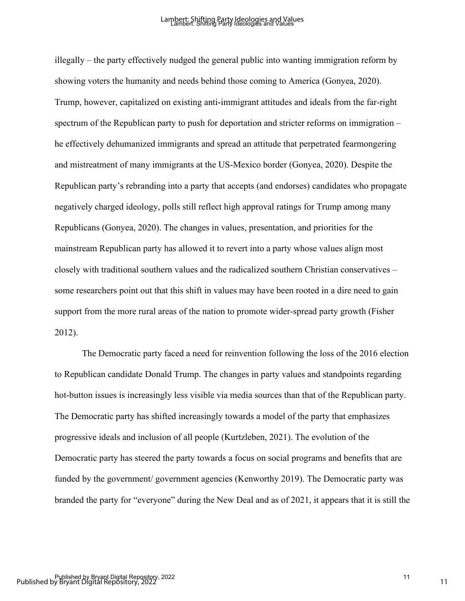illegally – the party effectively nudged the general public into wanting immigration reform by showing voters the humanity and needs behind those coming to America (Gonyea, 2020). Trump, however, capitalized on existing anti-immigrant attitudes and ideals from the far-right spectrum of the Republican party to push for deportation and stricter reforms on immigration – he effectively dehumanized immigrants and spread an attitude that perpetrated fearmongering and mistreatment of many immigrants at the US-Mexico border (Gonyea, 2020). Despite the Republican party's rebranding into a party that accepts (and endorses) candidates who propagate negatively charged ideology, polls still reflect high approval ratings for Trump among many Republicans (Gonyea, 2020). The changes in values, presentation, and priorities for the mainstream Republican party has allowed it to revert into a party whose values align most closely with traditional southern values and the radicalized southern Christian conservatives – some researchers point out that this shift in values may have been rooted in a dire need to gain support from the more rural areas of the nation to promote wider-spread party growth (Fisher 2012).

The Democratic party faced a need for reinvention following the loss of the 2016 election to Republican candidate Donald Trump. The changes in party values and standpoints regarding hot-button issues is increasingly less visible via media sources than that of the Republican party. The Democratic party has shifted increasingly towards a model of the party that emphasizes progressive ideals and inclusion of all people (Kurtzleben, 2021). The evolution of the Democratic party has steered the party towards a focus on social programs and benefits that are funded by the government/ government agencies (Kenworthy 2019). The Democratic party was branded the party for "everyone" during the New Deal and as of 2021, it appears that it is still the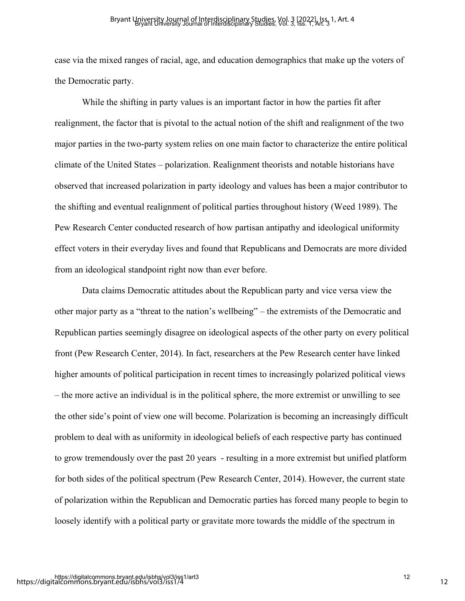case via the mixed ranges of racial, age, and education demographics that make up the voters of the Democratic party.

While the shifting in party values is an important factor in how the parties fit after realignment, the factor that is pivotal to the actual notion of the shift and realignment of the two major parties in the two-party system relies on one main factor to characterize the entire political climate of the United States – polarization. Realignment theorists and notable historians have observed that increased polarization in party ideology and values has been a major contributor to the shifting and eventual realignment of political parties throughout history (Weed 1989). The Pew Research Center conducted research of how partisan antipathy and ideological uniformity effect voters in their everyday lives and found that Republicans and Democrats are more divided from an ideological standpoint right now than ever before.

Data claims Democratic attitudes about the Republican party and vice versa view the other major party as a "threat to the nation's wellbeing" – the extremists of the Democratic and Republican parties seemingly disagree on ideological aspects of the other party on every political front (Pew Research Center, 2014). In fact, researchers at the Pew Research center have linked higher amounts of political participation in recent times to increasingly polarized political views – the more active an individual is in the political sphere, the more extremist or unwilling to see the other side's point of view one will become. Polarization is becoming an increasingly difficult problem to deal with as uniformity in ideological beliefs of each respective party has continued to grow tremendously over the past 20 years - resulting in a more extremist but unified platform for both sides of the political spectrum (Pew Research Center, 2014). However, the current state of polarization within the Republican and Democratic parties has forced many people to begin to loosely identify with a political party or gravitate more towards the middle of the spectrum in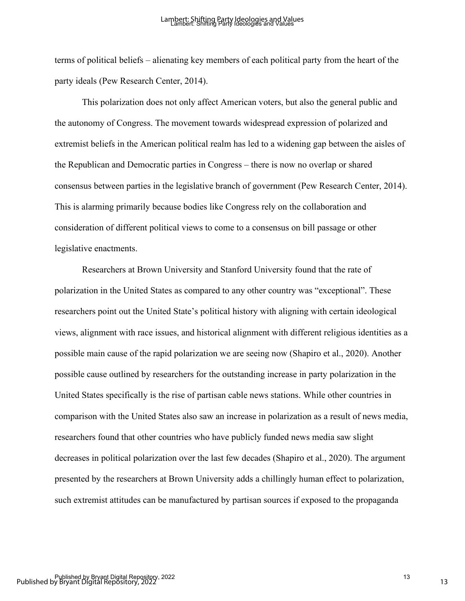terms of political beliefs – alienating key members of each political party from the heart of the party ideals (Pew Research Center, 2014).

This polarization does not only affect American voters, but also the general public and the autonomy of Congress. The movement towards widespread expression of polarized and extremist beliefs in the American political realm has led to a widening gap between the aisles of the Republican and Democratic parties in Congress – there is now no overlap or shared consensus between parties in the legislative branch of government (Pew Research Center, 2014). This is alarming primarily because bodies like Congress rely on the collaboration and consideration of different political views to come to a consensus on bill passage or other legislative enactments.

Researchers at Brown University and Stanford University found that the rate of polarization in the United States as compared to any other country was "exceptional". These researchers point out the United State's political history with aligning with certain ideological views, alignment with race issues, and historical alignment with different religious identities as a possible main cause of the rapid polarization we are seeing now (Shapiro et al., 2020). Another possible cause outlined by researchers for the outstanding increase in party polarization in the United States specifically is the rise of partisan cable news stations. While other countries in comparison with the United States also saw an increase in polarization as a result of news media, researchers found that other countries who have publicly funded news media saw slight decreases in political polarization over the last few decades (Shapiro et al., 2020). The argument presented by the researchers at Brown University adds a chillingly human effect to polarization, such extremist attitudes can be manufactured by partisan sources if exposed to the propaganda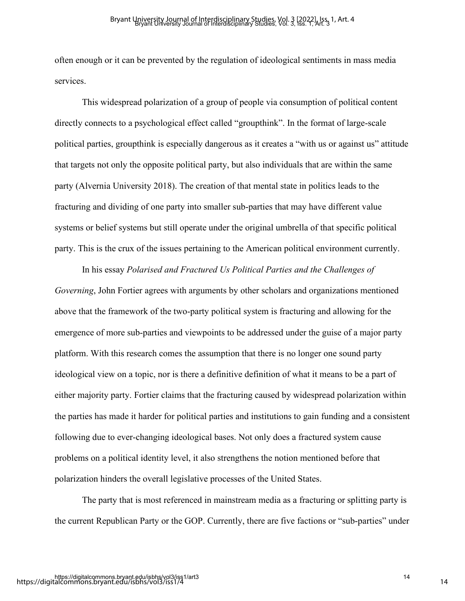often enough or it can be prevented by the regulation of ideological sentiments in mass media services.

This widespread polarization of a group of people via consumption of political content directly connects to a psychological effect called "groupthink". In the format of large-scale political parties, groupthink is especially dangerous as it creates a "with us or against us" attitude that targets not only the opposite political party, but also individuals that are within the same party (Alvernia University 2018). The creation of that mental state in politics leads to the fracturing and dividing of one party into smaller sub-parties that may have different value systems or belief systems but still operate under the original umbrella of that specific political party. This is the crux of the issues pertaining to the American political environment currently.

In his essay *Polarised and Fractured Us Political Parties and the Challenges of Governing*, John Fortier agrees with arguments by other scholars and organizations mentioned above that the framework of the two-party political system is fracturing and allowing for the emergence of more sub-parties and viewpoints to be addressed under the guise of a major party platform. With this research comes the assumption that there is no longer one sound party ideological view on a topic, nor is there a definitive definition of what it means to be a part of either majority party. Fortier claims that the fracturing caused by widespread polarization within the parties has made it harder for political parties and institutions to gain funding and a consistent following due to ever-changing ideological bases. Not only does a fractured system cause problems on a political identity level, it also strengthens the notion mentioned before that polarization hinders the overall legislative processes of the United States.

The party that is most referenced in mainstream media as a fracturing or splitting party is the current Republican Party or the GOP. Currently, there are five factions or "sub-parties" under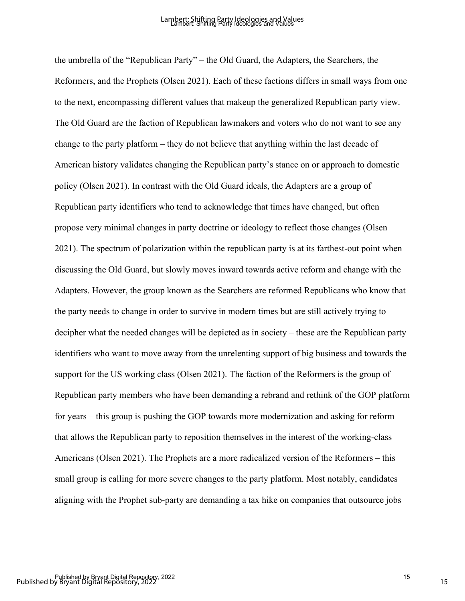the umbrella of the "Republican Party" – the Old Guard, the Adapters, the Searchers, the Reformers, and the Prophets (Olsen 2021). Each of these factions differs in small ways from one to the next, encompassing different values that makeup the generalized Republican party view. The Old Guard are the faction of Republican lawmakers and voters who do not want to see any change to the party platform – they do not believe that anything within the last decade of American history validates changing the Republican party's stance on or approach to domestic policy (Olsen 2021). In contrast with the Old Guard ideals, the Adapters are a group of Republican party identifiers who tend to acknowledge that times have changed, but often propose very minimal changes in party doctrine or ideology to reflect those changes (Olsen 2021). The spectrum of polarization within the republican party is at its farthest-out point when discussing the Old Guard, but slowly moves inward towards active reform and change with the Adapters. However, the group known as the Searchers are reformed Republicans who know that the party needs to change in order to survive in modern times but are still actively trying to decipher what the needed changes will be depicted as in society – these are the Republican party identifiers who want to move away from the unrelenting support of big business and towards the support for the US working class (Olsen 2021). The faction of the Reformers is the group of Republican party members who have been demanding a rebrand and rethink of the GOP platform for years – this group is pushing the GOP towards more modernization and asking for reform that allows the Republican party to reposition themselves in the interest of the working-class Americans (Olsen 2021). The Prophets are a more radicalized version of the Reformers – this small group is calling for more severe changes to the party platform. Most notably, candidates aligning with the Prophet sub-party are demanding a tax hike on companies that outsource jobs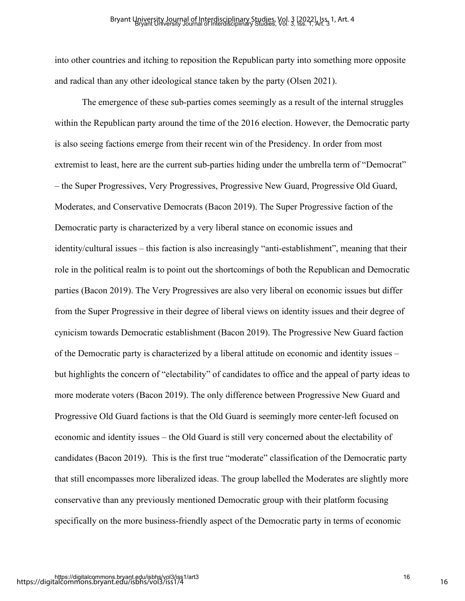into other countries and itching to reposition the Republican party into something more opposite and radical than any other ideological stance taken by the party (Olsen 2021).

The emergence of these sub-parties comes seemingly as a result of the internal struggles within the Republican party around the time of the 2016 election. However, the Democratic party is also seeing factions emerge from their recent win of the Presidency. In order from most extremist to least, here are the current sub-parties hiding under the umbrella term of "Democrat" – the Super Progressives, Very Progressives, Progressive New Guard, Progressive Old Guard, Moderates, and Conservative Democrats (Bacon 2019). The Super Progressive faction of the Democratic party is characterized by a very liberal stance on economic issues and identity/cultural issues – this faction is also increasingly "anti-establishment", meaning that their role in the political realm is to point out the shortcomings of both the Republican and Democratic parties (Bacon 2019). The Very Progressives are also very liberal on economic issues but differ from the Super Progressive in their degree of liberal views on identity issues and their degree of cynicism towards Democratic establishment (Bacon 2019). The Progressive New Guard faction of the Democratic party is characterized by a liberal attitude on economic and identity issues – but highlights the concern of "electability" of candidates to office and the appeal of party ideas to more moderate voters (Bacon 2019). The only difference between Progressive New Guard and Progressive Old Guard factions is that the Old Guard is seemingly more center-left focused on economic and identity issues – the Old Guard is still very concerned about the electability of candidates (Bacon 2019). This is the first true "moderate" classification of the Democratic party that still encompasses more liberalized ideas. The group labelled the Moderates are slightly more conservative than any previously mentioned Democratic group with their platform focusing specifically on the more business-friendly aspect of the Democratic party in terms of economic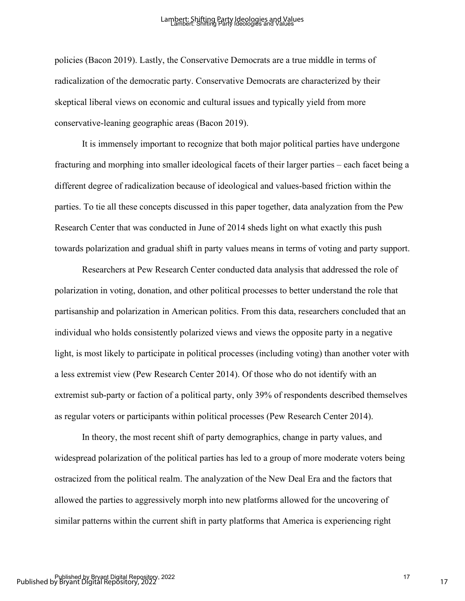policies (Bacon 2019). Lastly, the Conservative Democrats are a true middle in terms of radicalization of the democratic party. Conservative Democrats are characterized by their skeptical liberal views on economic and cultural issues and typically yield from more conservative-leaning geographic areas (Bacon 2019).

It is immensely important to recognize that both major political parties have undergone fracturing and morphing into smaller ideological facets of their larger parties – each facet being a different degree of radicalization because of ideological and values-based friction within the parties. To tie all these concepts discussed in this paper together, data analyzation from the Pew Research Center that was conducted in June of 2014 sheds light on what exactly this push towards polarization and gradual shift in party values means in terms of voting and party support.

Researchers at Pew Research Center conducted data analysis that addressed the role of polarization in voting, donation, and other political processes to better understand the role that partisanship and polarization in American politics. From this data, researchers concluded that an individual who holds consistently polarized views and views the opposite party in a negative light, is most likely to participate in political processes (including voting) than another voter with a less extremist view (Pew Research Center 2014). Of those who do not identify with an extremist sub-party or faction of a political party, only 39% of respondents described themselves as regular voters or participants within political processes (Pew Research Center 2014).

In theory, the most recent shift of party demographics, change in party values, and widespread polarization of the political parties has led to a group of more moderate voters being ostracized from the political realm. The analyzation of the New Deal Era and the factors that allowed the parties to aggressively morph into new platforms allowed for the uncovering of similar patterns within the current shift in party platforms that America is experiencing right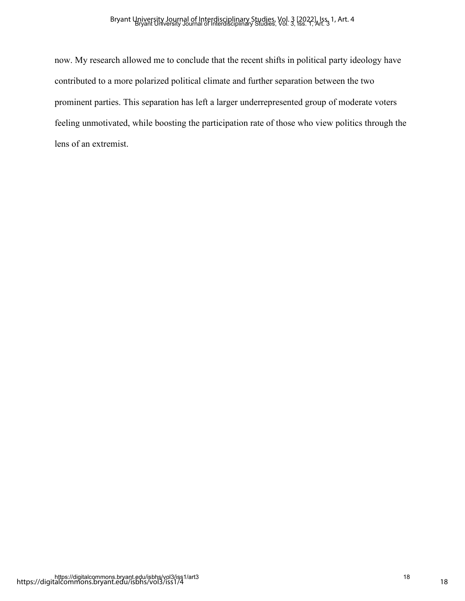now. My research allowed me to conclude that the recent shifts in political party ideology have contributed to a more polarized political climate and further separation between the two prominent parties. This separation has left a larger underrepresented group of moderate voters feeling unmotivated, while boosting the participation rate of those who view politics through the lens of an extremist.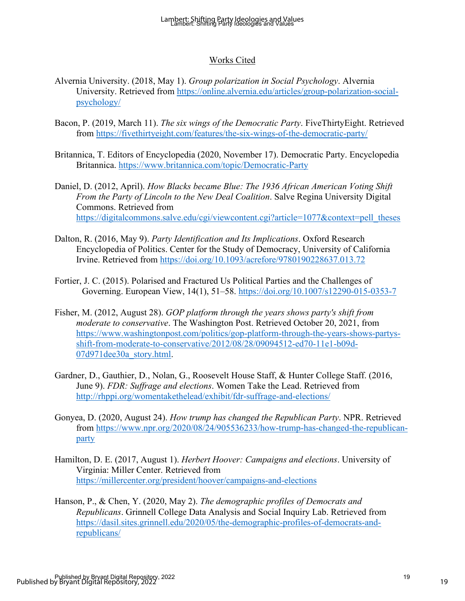#### Works Cited

- Alvernia University. (2018, May 1). *Group polarization in Social Psychology*. Alvernia University. Retrieved from [https://online.alvernia.edu/articles/group-polarization-social](https://online.alvernia.edu/articles/group-polarization-social-psychology/)[psychology/](https://online.alvernia.edu/articles/group-polarization-social-psychology/)
- Bacon, P. (2019, March 11). *The six wings of the Democratic Party*. FiveThirtyEight. Retrieved from<https://fivethirtyeight.com/features/the-six-wings-of-the-democratic-party/>
- Britannica, T. Editors of Encyclopedia (2020, November 17). Democratic Party. Encyclopedia Britannica.<https://www.britannica.com/topic/Democratic-Party>
- Daniel, D. (2012, April). *How Blacks became Blue: The 1936 African American Voting Shift From the Party of Lincoln to the New Deal Coalition*. Salve Regina University Digital Commons. Retrieved from [https://digitalcommons.salve.edu/cgi/viewcontent.cgi?article=1077&context=pell\\_theses](https://digitalcommons.salve.edu/cgi/viewcontent.cgi?article=1077&context=pell_theses)
- Dalton, R. (2016, May 9). *Party Identification and Its Implications*. Oxford Research Encyclopedia of Politics. Center for the Study of Democracy, University of California Irvine. Retrieved from<https://doi.org/10.1093/acrefore/9780190228637.013.72>
- Fortier, J. C. (2015). Polarised and Fractured Us Political Parties and the Challenges of Governing. European View, 14(1), 51–58.<https://doi.org/10.1007/s12290-015-0353-7>
- Fisher, M. (2012, August 28). *GOP platform through the years shows party's shift from moderate to conservative*. The Washington Post. Retrieved October 20, 2021, from [https://www.washingtonpost.com/politics/gop-platform-through-the-years-shows-partys](https://www.washingtonpost.com/politics/gop-platform-through-the-years-shows-partys-shift-from-moderate-to-conservative/2012/08/28/09094512-ed70-11e1-b09d-07d971dee30a_story.html)[shift-from-moderate-to-conservative/2012/08/28/09094512-ed70-11e1-b09d-](https://www.washingtonpost.com/politics/gop-platform-through-the-years-shows-partys-shift-from-moderate-to-conservative/2012/08/28/09094512-ed70-11e1-b09d-07d971dee30a_story.html)[07d971dee30a\\_story.html.](https://www.washingtonpost.com/politics/gop-platform-through-the-years-shows-partys-shift-from-moderate-to-conservative/2012/08/28/09094512-ed70-11e1-b09d-07d971dee30a_story.html)
- Gardner, D., Gauthier, D., Nolan, G., Roosevelt House Staff, & Hunter College Staff. (2016, June 9). *FDR: Suffrage and elections*. Women Take the Lead. Retrieved from <http://rhppi.org/womentakethelead/exhibit/fdr-suffrage-and-elections/>
- Gonyea, D. (2020, August 24). *How trump has changed the Republican Party*. NPR. Retrieved from [https://www.npr.org/2020/08/24/905536233/how-trump-has-changed-the-republican](https://www.npr.org/2020/08/24/905536233/how-trump-has-changed-the-republican-party)[party](https://www.npr.org/2020/08/24/905536233/how-trump-has-changed-the-republican-party)
- Hamilton, D. E. (2017, August 1). *Herbert Hoover: Campaigns and elections*. University of Virginia: Miller Center. Retrieved from <https://millercenter.org/president/hoover/campaigns-and-elections>
- Hanson, P., & Chen, Y. (2020, May 2). *The demographic profiles of Democrats and Republicans*. Grinnell College Data Analysis and Social Inquiry Lab. Retrieved from [https://dasil.sites.grinnell.edu/2020/05/the-demographic-profiles-of-democrats-and](https://dasil.sites.grinnell.edu/2020/05/the-demographic-profiles-of-democrats-and-republicans/)[republicans/](https://dasil.sites.grinnell.edu/2020/05/the-demographic-profiles-of-democrats-and-republicans/)